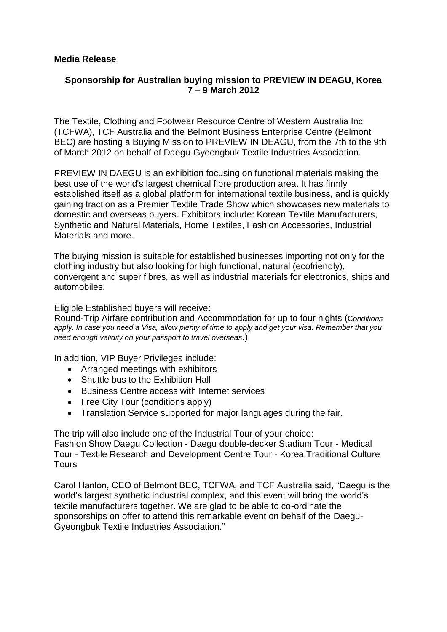## **Media Release**

## **Sponsorship for Australian buying mission to PREVIEW IN DEAGU, Korea 7 – 9 March 2012**

The Textile, Clothing and Footwear Resource Centre of Western Australia Inc (TCFWA), TCF Australia and the Belmont Business Enterprise Centre (Belmont BEC) are hosting a Buying Mission to PREVIEW IN DEAGU, from the 7th to the 9th of March 2012 on behalf of Daegu-Gyeongbuk Textile Industries Association.

PREVIEW IN DAEGU is an exhibition focusing on functional materials making the best use of the world's largest chemical fibre production area. It has firmly established itself as a global platform for international textile business, and is quickly gaining traction as a Premier Textile Trade Show which showcases new materials to domestic and overseas buyers. Exhibitors include: Korean Textile Manufacturers, Synthetic and Natural Materials, Home Textiles, Fashion Accessories, Industrial Materials and more.

The buying mission is suitable for established businesses importing not only for the clothing industry but also looking for high functional, natural (ecofriendly), convergent and super fibres, as well as industrial materials for electronics, ships and automobiles.

Eligible Established buyers will receive:

Round-Trip Airfare contribution and Accommodation for up to four nights (C*onditions apply. In case you need a Visa, allow plenty of time to apply and get your visa. Remember that you need enough validity on your passport to travel overseas.*)

In addition, VIP Buyer Privileges include:

- Arranged meetings with exhibitors
- Shuttle bus to the Exhibition Hall
- Business Centre access with Internet services
- Free City Tour (conditions apply)
- Translation Service supported for major languages during the fair.

The trip will also include one of the Industrial Tour of your choice: Fashion Show Daegu Collection - Daegu double-decker Stadium Tour - Medical Tour - Textile Research and Development Centre Tour - Korea Traditional Culture **Tours** 

Carol Hanlon, CEO of Belmont BEC, TCFWA, and TCF Australia said, "Daegu is the world's largest synthetic industrial complex, and this event will bring the world's textile manufacturers together. We are glad to be able to co-ordinate the sponsorships on offer to attend this remarkable event on behalf of the Daegu-Gyeongbuk Textile Industries Association."